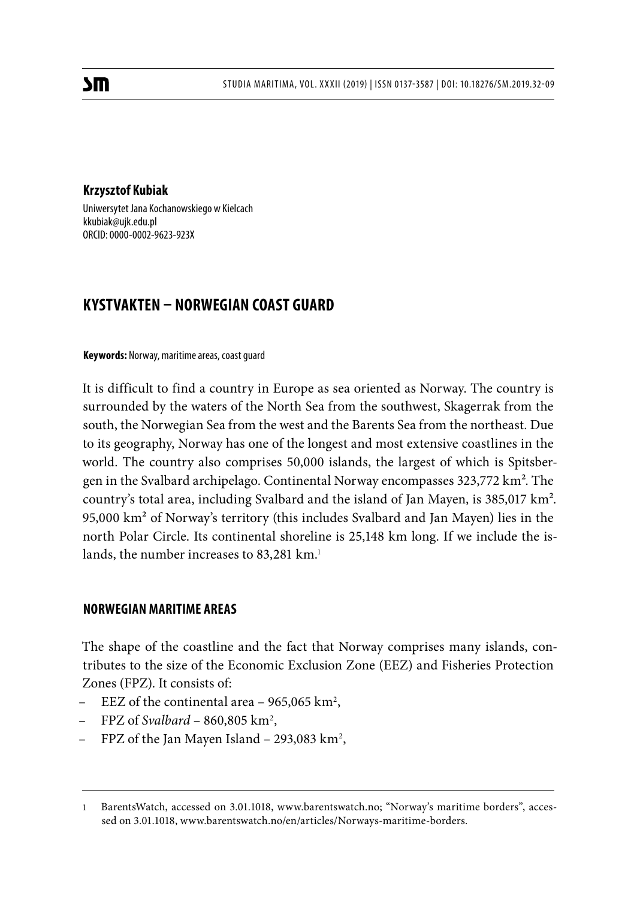### **Krzysztof Kubiak**

Uniwersytet Jana Kochanowskiego w Kielcach kkubiak@ujk.edu.pl ORCID: 0000-0002-9623-923X

# **KYSTVAKTEN – NORWEGIAN COAST GUARD**

### **Keywords:** Norway, maritime areas, coast guard

It is difficult to find a country in Europe as sea oriented as Norway. The country is surrounded by the waters of the North Sea from the southwest, Skagerrak from the south, the Norwegian Sea from the west and the Barents Sea from the northeast. Due to its geography, Norway has one of the longest and most extensive coastlines in the world. The country also comprises 50,000 islands, the largest of which is Spitsbergen in the Svalbard archipelago. Continental Norway encompasses 323,772 km<sup>2</sup>. The country's total area, including Svalbard and the island of Jan Mayen, is 385,017 km². 95,000 km² of Norway's territory (this includes Svalbard and Jan Mayen) lies in the north Polar Circle. Its continental shoreline is 25,148 km long. If we include the islands, the number increases to 83,281 km.<sup>1</sup>

# **NORWEGIAN MARITIME AREAS**

The shape of the coastline and the fact that Norway comprises many islands, contributes to the size of the Economic Exclusion Zone (EEZ) and Fisheries Protection Zones (FPZ). It consists of:

- $E$ EEZ of the continental area 965,065 km<sup>2</sup>,
- FPZ of *Svalbard* 860,805 km2 ,
- FPZ of the Jan Mayen Island 293,083 km<sup>2</sup>,

<sup>1</sup> BarentsWatch, accessed on 3.01.1018, www.barentswatch.no; "Norway's maritime borders", accessed on 3.01.1018, www.barentswatch.no/en/articles/Norways-maritime-borders.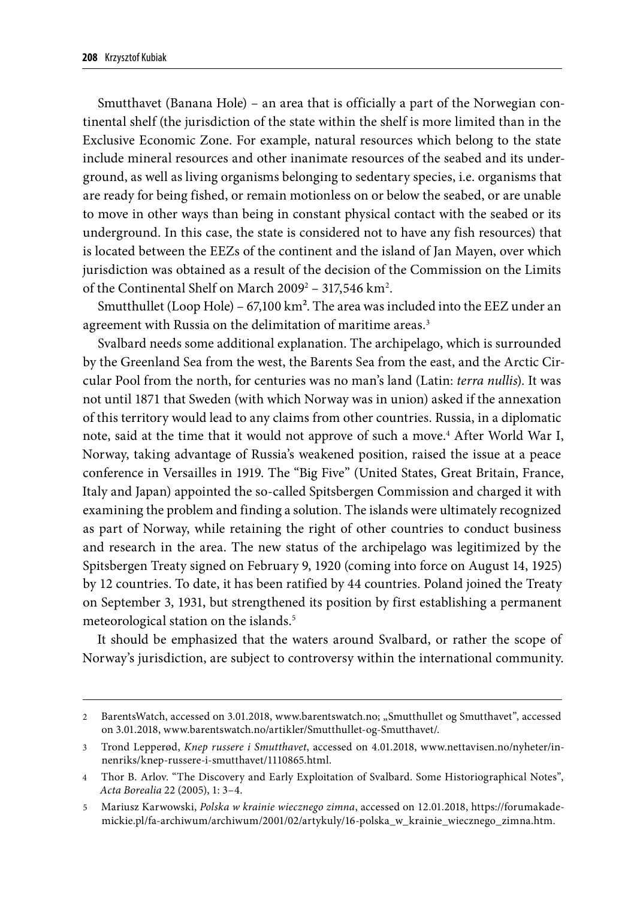Smutthavet (Banana Hole) – an area that is officially a part of the Norwegian continental shelf (the jurisdiction of the state within the shelf is more limited than in the Exclusive Economic Zone. For example, natural resources which belong to the state include mineral resources and other inanimate resources of the seabed and its underground, as well as living organisms belonging to sedentary species, i.e. organisms that are ready for being fished, or remain motionless on or below the seabed, or are unable to move in other ways than being in constant physical contact with the seabed or its underground. In this case, the state is considered not to have any fish resources) that is located between the EEZs of the continent and the island of Jan Mayen, over which jurisdiction was obtained as a result of the decision of the Commission on the Limits of the Continental Shelf on March  $2009^2 - 317,546 \mathrm{~km^2}$ .

Smutthullet (Loop Hole) – 67,100 km<sup>2</sup>. The area was included into the EEZ under an agreement with Russia on the delimitation of maritime areas.<sup>3</sup>

Svalbard needs some additional explanation. The archipelago, which is surrounded by the Greenland Sea from the west, the Barents Sea from the east, and the Arctic Circular Pool from the north, for centuries was no man's land (Latin: *terra nullis*). It was not until 1871 that Sweden (with which Norway was in union) asked if the annexation of this territory would lead to any claims from other countries. Russia, in a diplomatic note, said at the time that it would not approve of such a move.<sup>4</sup> After World War I, Norway, taking advantage of Russia's weakened position, raised the issue at a peace conference in Versailles in 1919. The "Big Five" (United States, Great Britain, France, Italy and Japan) appointed the so-called Spitsbergen Commission and charged it with examining the problem and finding a solution. The islands were ultimately recognized as part of Norway, while retaining the right of other countries to conduct business and research in the area. The new status of the archipelago was legitimized by the Spitsbergen Treaty signed on February 9, 1920 (coming into force on August 14, 1925) by 12 countries. To date, it has been ratified by 44 countries. Poland joined the Treaty on September 3, 1931, but strengthened its position by first establishing a permanent meteorological station on the islands.<sup>5</sup>

It should be emphasized that the waters around Svalbard, or rather the scope of Norway's jurisdiction, are subject to controversy within the international community.

<sup>2</sup> BarentsWatch, accessed on 3.01.2018, www.barentswatch.no; "Smutthullet og Smutthavet", accessed on 3.01.2018, www.barentswatch.no/artikler/Smutthullet-og-Smutthavet/.

<sup>3</sup> Trond Lepperød, *Knep russere i Smutthavet*, accessed on 4.01.2018, www.nettavisen.no/nyheter/innenriks/knep-russere-i-smutthavet/1110865.html.

<sup>4</sup> Thor B. Arlov. "The Discovery and Early Exploitation of Svalbard. Some Historiographical Notes", *Acta Borealia* 22 (2005), 1: 3–4.

<sup>5</sup> Mariusz Karwowski, *Polska w krainie wiecznego zimna*, accessed on 12.01.2018, https://forumakademickie.pl/fa-archiwum/archiwum/2001/02/artykuly/16-polska\_w\_krainie\_wiecznego\_zimna.htm.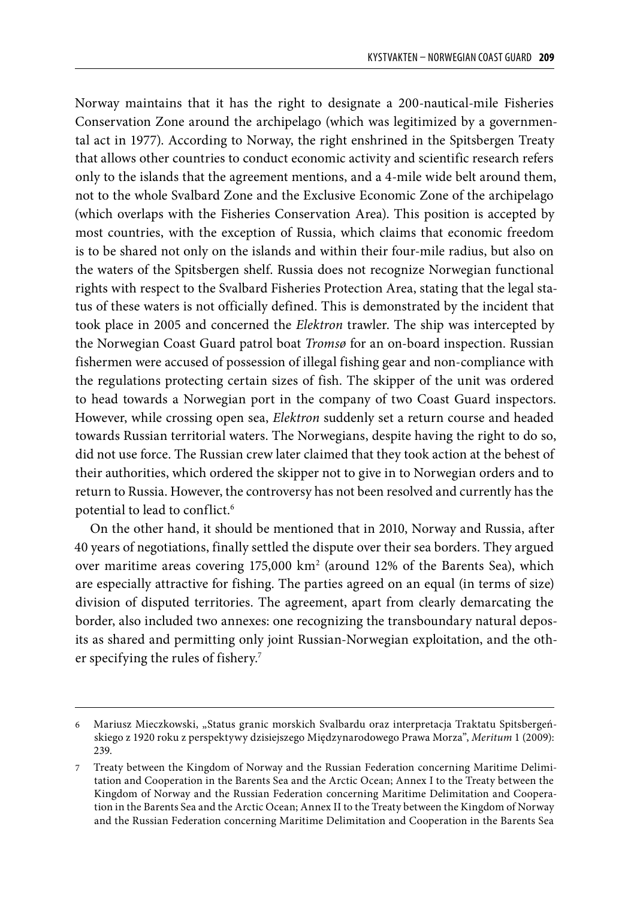Norway maintains that it has the right to designate a 200-nautical-mile Fisheries Conservation Zone around the archipelago (which was legitimized by a governmental act in 1977). According to Norway, the right enshrined in the Spitsbergen Treaty that allows other countries to conduct economic activity and scientific research refers only to the islands that the agreement mentions, and a 4-mile wide belt around them, not to the whole Svalbard Zone and the Exclusive Economic Zone of the archipelago (which overlaps with the Fisheries Conservation Area). This position is accepted by most countries, with the exception of Russia, which claims that economic freedom is to be shared not only on the islands and within their four-mile radius, but also on the waters of the Spitsbergen shelf. Russia does not recognize Norwegian functional rights with respect to the Svalbard Fisheries Protection Area, stating that the legal status of these waters is not officially defined. This is demonstrated by the incident that took place in 2005 and concerned the *Elektron* trawler. The ship was intercepted by the Norwegian Coast Guard patrol boat *Tromsø* for an on-board inspection. Russian fishermen were accused of possession of illegal fishing gear and non-compliance with the regulations protecting certain sizes of fish. The skipper of the unit was ordered to head towards a Norwegian port in the company of two Coast Guard inspectors. However, while crossing open sea, *Elektron* suddenly set a return course and headed towards Russian territorial waters. The Norwegians, despite having the right to do so, did not use force. The Russian crew later claimed that they took action at the behest of their authorities, which ordered the skipper not to give in to Norwegian orders and to return to Russia. However, the controversy has not been resolved and currently has the potential to lead to conflict.<sup>6</sup>

On the other hand, it should be mentioned that in 2010, Norway and Russia, after 40 years of negotiations, finally settled the dispute over their sea borders. They argued over maritime areas covering 175,000 km2 (around 12% of the Barents Sea), which are especially attractive for fishing. The parties agreed on an equal (in terms of size) division of disputed territories. The agreement, apart from clearly demarcating the border, also included two annexes: one recognizing the transboundary natural deposits as shared and permitting only joint Russian-Norwegian exploitation, and the other specifying the rules of fishery.7

<sup>6</sup> Mariusz Mieczkowski, "Status granic morskich Svalbardu oraz interpretacja Traktatu Spitsbergeńskiego z 1920 roku z perspektywy dzisiejszego Międzynarodowego Prawa Morza", *Meritum* 1 (2009): 239.

<sup>7</sup> Treaty between the Kingdom of Norway and the Russian Federation concerning Maritime Delimitation and Cooperation in the Barents Sea and the Arctic Ocean; Annex I to the Treaty between the Kingdom of Norway and the Russian Federation concerning Maritime Delimitation and Cooperation in the Barents Sea and the Arctic Ocean; Annex II to the Treaty between the Kingdom of Norway and the Russian Federation concerning Maritime Delimitation and Cooperation in the Barents Sea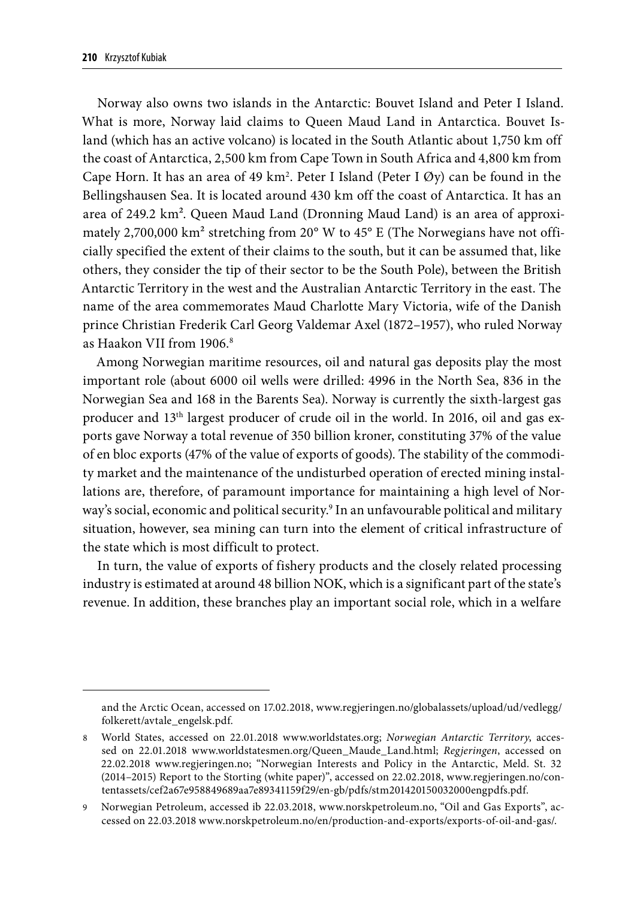Norway also owns two islands in the Antarctic: Bouvet Island and Peter I Island. What is more, Norway laid claims to Queen Maud Land in Antarctica. Bouvet Island (which has an active volcano) is located in the South Atlantic about 1,750 km off the coast of Antarctica, 2,500 km from Cape Town in South Africa and 4,800 km from Cape Horn. It has an area of 49 km<sup>2</sup>. Peter I Island (Peter I Øy) can be found in the Bellingshausen Sea. It is located around 430 km off the coast of Antarctica. It has an area of 249.2 km². Queen Maud Land (Dronning Maud Land) is an area of approximately 2,700,000 km<sup>2</sup> stretching from 20° W to 45° E (The Norwegians have not officially specified the extent of their claims to the south, but it can be assumed that, like others, they consider the tip of their sector to be the South Pole), between the British Antarctic Territory in the west and the Australian Antarctic Territory in the east. The name of the area commemorates Maud Charlotte Mary Victoria, wife of the Danish prince Christian Frederik Carl Georg Valdemar Axel (1872–1957), who ruled Norway as Haakon VII from 1906.8

Among Norwegian maritime resources, oil and natural gas deposits play the most important role (about 6000 oil wells were drilled: 4996 in the North Sea, 836 in the Norwegian Sea and 168 in the Barents Sea). Norway is currently the sixth-largest gas producer and 13th largest producer of crude oil in the world. In 2016, oil and gas exports gave Norway a total revenue of 350 billion kroner, constituting 37% of the value of en bloc exports (47% of the value of exports of goods). The stability of the commodity market and the maintenance of the undisturbed operation of erected mining installations are, therefore, of paramount importance for maintaining a high level of Norway's social, economic and political security.9 In an unfavourable political and military situation, however, sea mining can turn into the element of critical infrastructure of the state which is most difficult to protect.

In turn, the value of exports of fishery products and the closely related processing industry is estimated at around 48 billion NOK, which is a significant part of the state's revenue. In addition, these branches play an important social role, which in a welfare

and the Arctic Ocean, accessed on 17.02.2018, www.regjeringen.no/globalassets/upload/ud/vedlegg/ folkerett/avtale\_engelsk.pdf.

<sup>8</sup> World States, accessed on 22.01.2018 www.worldstates.org; *Norwegian Antarctic Territory*, accessed on 22.01.2018 www.worldstatesmen.org/Queen\_Maude\_Land.html; *Regjeringen*, accessed on 22.02.2018 www.regjeringen.no; "Norwegian Interests and Policy in the Antarctic, Meld. St. 32 (2014–2015) Report to the Storting (white paper)", accessed on 22.02.2018, www.regjeringen.no/contentassets/cef2a67e958849689aa7e89341159f29/en-gb/pdfs/stm201420150032000engpdfs.pdf.

<sup>9</sup> Norwegian Petroleum, accessed ib 22.03.2018, www.norskpetroleum.no, "Oil and Gas Exports", accessed on 22.03.2018 www.norskpetroleum.no/en/production-and-exports/exports-of-oil-and-gas/.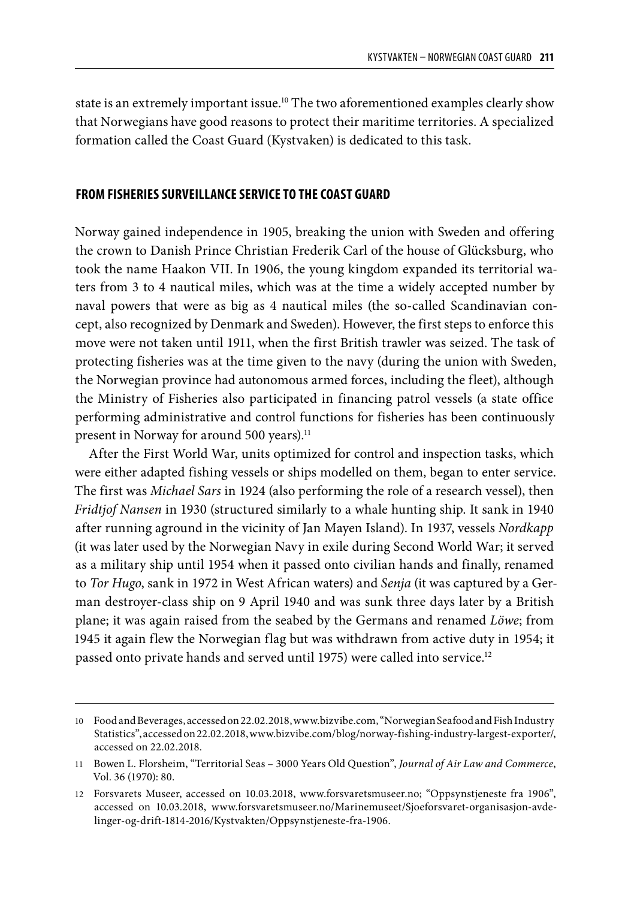state is an extremely important issue.10 The two aforementioned examples clearly show that Norwegians have good reasons to protect their maritime territories. A specialized formation called the Coast Guard (Kystvaken) is dedicated to this task.

### **FROM FISHERIES SURVEILLANCE SERVICE TO THE COAST GUARD**

Norway gained independence in 1905, breaking the union with Sweden and offering the crown to Danish Prince Christian Frederik Carl of the house of Glücksburg, who took the name Haakon VII. In 1906, the young kingdom expanded its territorial waters from 3 to 4 nautical miles, which was at the time a widely accepted number by naval powers that were as big as 4 nautical miles (the so-called Scandinavian concept, also recognized by Denmark and Sweden). However, the first steps to enforce this move were not taken until 1911, when the first British trawler was seized. The task of protecting fisheries was at the time given to the navy (during the union with Sweden, the Norwegian province had autonomous armed forces, including the fleet), although the Ministry of Fisheries also participated in financing patrol vessels (a state office performing administrative and control functions for fisheries has been continuously present in Norway for around 500 years).<sup>11</sup>

After the First World War, units optimized for control and inspection tasks, which were either adapted fishing vessels or ships modelled on them, began to enter service. The first was *Michael Sars* in 1924 (also performing the role of a research vessel), then *Fridtjof Nansen* in 1930 (structured similarly to a whale hunting ship. It sank in 1940 after running aground in the vicinity of Jan Mayen Island). In 1937, vessels *Nordkapp* (it was later used by the Norwegian Navy in exile during Second World War; it served as a military ship until 1954 when it passed onto civilian hands and finally, renamed to *Tor Hugo*, sank in 1972 in West African waters) and *Senja* (it was captured by a German destroyer-class ship on 9 April 1940 and was sunk three days later by a British plane; it was again raised from the seabed by the Germans and renamed *Löwe*; from 1945 it again flew the Norwegian flag but was withdrawn from active duty in 1954; it passed onto private hands and served until 1975) were called into service.<sup>12</sup>

<sup>10</sup> Food and Beverages, accessed on 22.02.2018, www.bizvibe.com, "Norwegian Seafood and Fish Industry Statistics", accessed on 22.02.2018, www.bizvibe.com/blog/norway-fishing-industry-largest-exporter/, accessed on 22.02.2018.

<sup>11</sup> Bowen L. Florsheim, "Territorial Seas – 3000 Years Old Question", *Journal of Air Law and Commerce*, Vol. 36 (1970): 80.

<sup>12</sup> Forsvarets Museer, accessed on 10.03.2018, www.forsvaretsmuseer.no; "Oppsynstjeneste fra 1906", accessed on 10.03.2018, www.forsvaretsmuseer.no/Marinemuseet/Sjoeforsvaret-organisasjon-avdelinger-og-drift-1814-2016/Kystvakten/Oppsynstjeneste-fra-1906.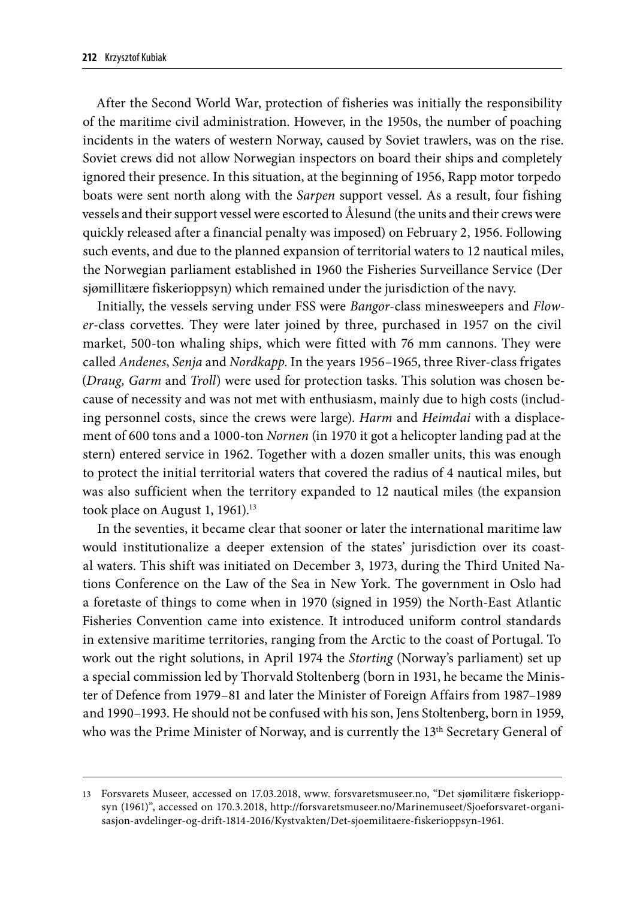After the Second World War, protection of fisheries was initially the responsibility of the maritime civil administration. However, in the 1950s, the number of poaching incidents in the waters of western Norway, caused by Soviet trawlers, was on the rise. Soviet crews did not allow Norwegian inspectors on board their ships and completely ignored their presence. In this situation, at the beginning of 1956, Rapp motor torpedo boats were sent north along with the *Sarpen* support vessel. As a result, four fishing vessels and their support vessel were escorted to Ålesund (the units and their crews were quickly released after a financial penalty was imposed) on February 2, 1956. Following such events, and due to the planned expansion of territorial waters to 12 nautical miles, the Norwegian parliament established in 1960 the Fisheries Surveillance Service (Der sjømillitære fiskerioppsyn) which remained under the jurisdiction of the navy.

Initially, the vessels serving under FSS were *Bangor*-class minesweepers and *Flower*-class corvettes. They were later joined by three, purchased in 1957 on the civil market, 500-ton whaling ships, which were fitted with 76 mm cannons. They were called *Andenes*, *Senja* and *Nordkapp*. In the years 1956–1965, three River-class frigates (*Draug, Garm* and *Troll*) were used for protection tasks. This solution was chosen because of necessity and was not met with enthusiasm, mainly due to high costs (including personnel costs, since the crews were large). *Harm* and *Heimdai* with a displacement of 600 tons and a 1000-ton *Nornen* (in 1970 it got a helicopter landing pad at the stern) entered service in 1962. Together with a dozen smaller units, this was enough to protect the initial territorial waters that covered the radius of 4 nautical miles, but was also sufficient when the territory expanded to 12 nautical miles (the expansion took place on August 1, 1961).<sup>13</sup>

In the seventies, it became clear that sooner or later the international maritime law would institutionalize a deeper extension of the states' jurisdiction over its coastal waters. This shift was initiated on December 3, 1973, during the Third United Nations Conference on the Law of the Sea in New York. The government in Oslo had a foretaste of things to come when in 1970 (signed in 1959) the North-East Atlantic Fisheries Convention came into existence. It introduced uniform control standards in extensive maritime territories, ranging from the Arctic to the coast of Portugal. To work out the right solutions, in April 1974 the *Storting* (Norway's parliament) set up a special commission led by Thorvald Stoltenberg (born in 1931, he became the Minister of Defence from 1979–81 and later the Minister of Foreign Affairs from 1987–1989 and 1990–1993. He should not be confused with his son, Jens Stoltenberg, born in 1959, who was the Prime Minister of Norway, and is currently the 13<sup>th</sup> Secretary General of

<sup>13</sup> Forsvarets Museer, accessed on 17.03.2018, www. forsvaretsmuseer.no, "Det sjømilitære fiskerioppsyn (1961)", accessed on 170.3.2018, http://forsvaretsmuseer.no/Marinemuseet/Sjoeforsvaret-organisasjon-avdelinger-og-drift-1814-2016/Kystvakten/Det-sjoemilitaere-fiskerioppsyn-1961.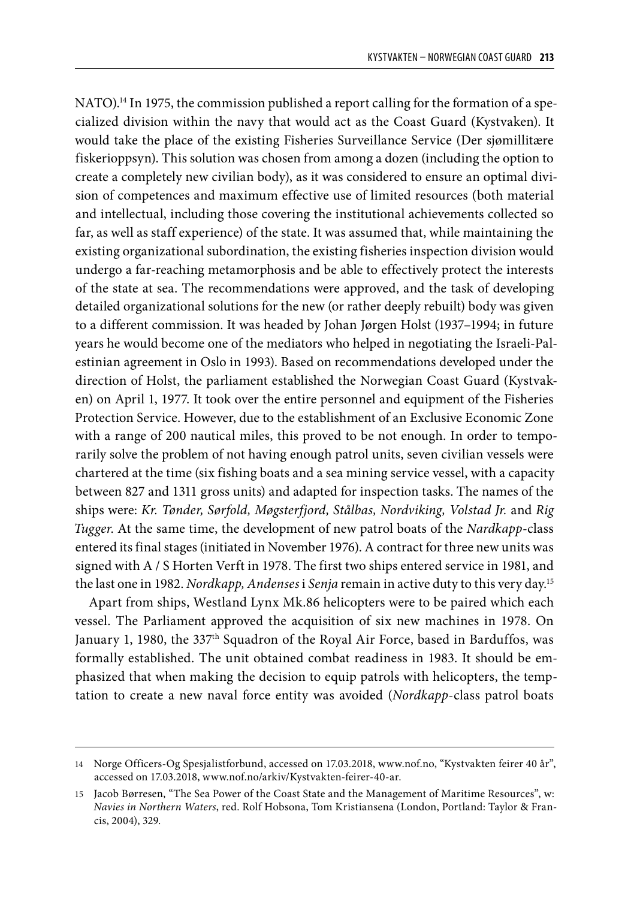NATO).<sup>14</sup> In 1975, the commission published a report calling for the formation of a specialized division within the navy that would act as the Coast Guard (Kystvaken). It would take the place of the existing Fisheries Surveillance Service (Der sjømillitære fiskerioppsyn). This solution was chosen from among a dozen (including the option to create a completely new civilian body), as it was considered to ensure an optimal division of competences and maximum effective use of limited resources (both material and intellectual, including those covering the institutional achievements collected so far, as well as staff experience) of the state. It was assumed that, while maintaining the existing organizational subordination, the existing fisheries inspection division would undergo a far-reaching metamorphosis and be able to effectively protect the interests of the state at sea. The recommendations were approved, and the task of developing detailed organizational solutions for the new (or rather deeply rebuilt) body was given to a different commission. It was headed by Johan Jørgen Holst (1937–1994; in future years he would become one of the mediators who helped in negotiating the Israeli-Palestinian agreement in Oslo in 1993). Based on recommendations developed under the direction of Holst, the parliament established the Norwegian Coast Guard (Kystvaken) on April 1, 1977. It took over the entire personnel and equipment of the Fisheries Protection Service. However, due to the establishment of an Exclusive Economic Zone with a range of 200 nautical miles, this proved to be not enough. In order to temporarily solve the problem of not having enough patrol units, seven civilian vessels were chartered at the time (six fishing boats and a sea mining service vessel, with a capacity between 827 and 1311 gross units) and adapted for inspection tasks. The names of the ships were: *Kr. Tønder, Sørfold, Møgsterfjord, Stålbas, Nordviking, Volstad Jr.* and *Rig Tugger*. At the same time, the development of new patrol boats of the *Nardkapp*-class entered its final stages (initiated in November 1976). A contract for three new units was signed with A / S Horten Verft in 1978. The first two ships entered service in 1981, and the last one in 1982. *Nordkapp, Andenses* i *Senja* remain in active duty to this very day.15

Apart from ships, Westland Lynx Mk.86 helicopters were to be paired which each vessel. The Parliament approved the acquisition of six new machines in 1978. On January 1, 1980, the 337<sup>th</sup> Squadron of the Royal Air Force, based in Barduffos, was formally established. The unit obtained combat readiness in 1983. It should be emphasized that when making the decision to equip patrols with helicopters, the temptation to create a new naval force entity was avoided (*Nordkapp*-class patrol boats

<sup>14</sup> Norge Officers-Og Spesjalistforbund, accessed on 17.03.2018, www.nof.no, "Kystvakten feirer 40 år", accessed on 17.03.2018, www.nof.no/arkiv/Kystvakten-feirer-40-ar.

<sup>15</sup> Jacob Børresen, "The Sea Power of the Coast State and the Management of Maritime Resources", w: *Navies in Northern Waters*, red. Rolf Hobsona, Tom Kristiansena (London, Portland: Taylor & Francis, 2004), 329.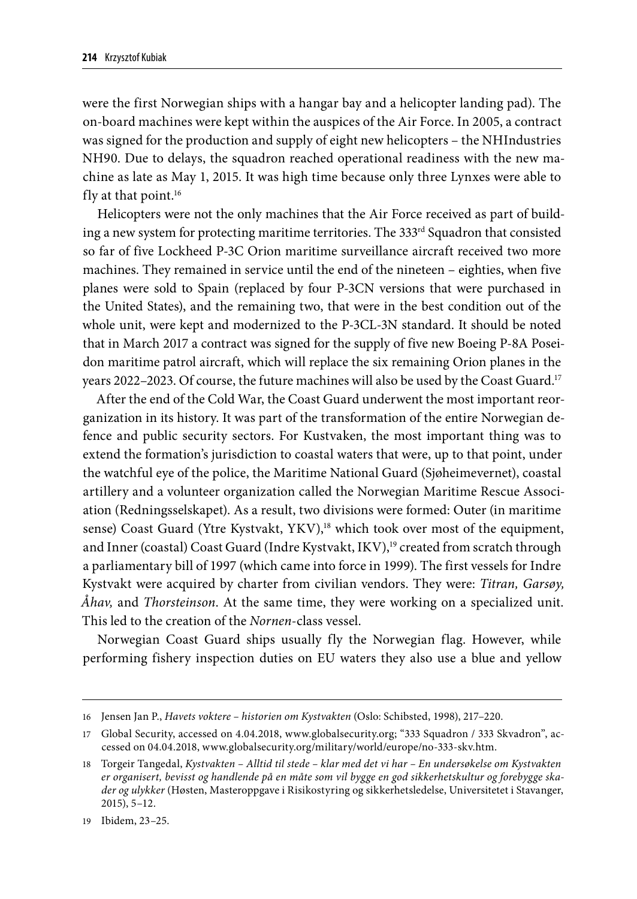were the first Norwegian ships with a hangar bay and a helicopter landing pad). The on-board machines were kept within the auspices of the Air Force. In 2005, a contract was signed for the production and supply of eight new helicopters – the NHIndustries NH90. Due to delays, the squadron reached operational readiness with the new machine as late as May 1, 2015. It was high time because only three Lynxes were able to fly at that point. $16$ 

Helicopters were not the only machines that the Air Force received as part of building a new system for protecting maritime territories. The  $333<sup>rd</sup>$  Squadron that consisted so far of five Lockheed P-3C Orion maritime surveillance aircraft received two more machines. They remained in service until the end of the nineteen – eighties, when five planes were sold to Spain (replaced by four P-3CN versions that were purchased in the United States), and the remaining two, that were in the best condition out of the whole unit, were kept and modernized to the P-3CL-3N standard. It should be noted that in March 2017 a contract was signed for the supply of five new Boeing P-8A Poseidon maritime patrol aircraft, which will replace the six remaining Orion planes in the years 2022–2023. Of course, the future machines will also be used by the Coast Guard.17

After the end of the Cold War, the Coast Guard underwent the most important reorganization in its history. It was part of the transformation of the entire Norwegian defence and public security sectors. For Kustvaken, the most important thing was to extend the formation's jurisdiction to coastal waters that were, up to that point, under the watchful eye of the police, the Maritime National Guard (Sjøheimevernet), coastal artillery and a volunteer organization called the Norwegian Maritime Rescue Association (Redningsselskapet). As a result, two divisions were formed: Outer (in maritime sense) Coast Guard (Ytre Kystvakt, YKV),<sup>18</sup> which took over most of the equipment, and Inner (coastal) Coast Guard (Indre Kystvakt, IKV),<sup>19</sup> created from scratch through a parliamentary bill of 1997 (which came into force in 1999). The first vessels for Indre Kystvakt were acquired by charter from civilian vendors. They were: *Titran, Garsøy, Åhav,* and *Thorsteinson*. At the same time, they were working on a specialized unit. This led to the creation of the *Nornen*-class vessel.

Norwegian Coast Guard ships usually fly the Norwegian flag. However, while performing fishery inspection duties on EU waters they also use a blue and yellow

19 Ibidem, 23–25.

<sup>16</sup> Jensen Jan P., *Havets voktere – historien om Kystvakten* (Oslo: Schibsted, 1998), 217–220.

<sup>17</sup> Global Security, accessed on 4.04.2018, www.globalsecurity.org; "333 Squadron / 333 Skvadron", accessed on 04.04.2018, www.globalsecurity.org/military/world/europe/no-333-skv.htm.

<sup>18</sup> Torgeir Tangedal, *Kystvakten – Alltid til stede – klar med det vi har – En undersøkelse om Kystvakten er organisert, bevisst og handlende på en måte som vil bygge en god sikkerhetskultur og forebygge skader og ulykker* (Høsten, Masteroppgave i Risikostyring og sikkerhetsledelse, Universitetet i Stavanger, 2015), 5–12.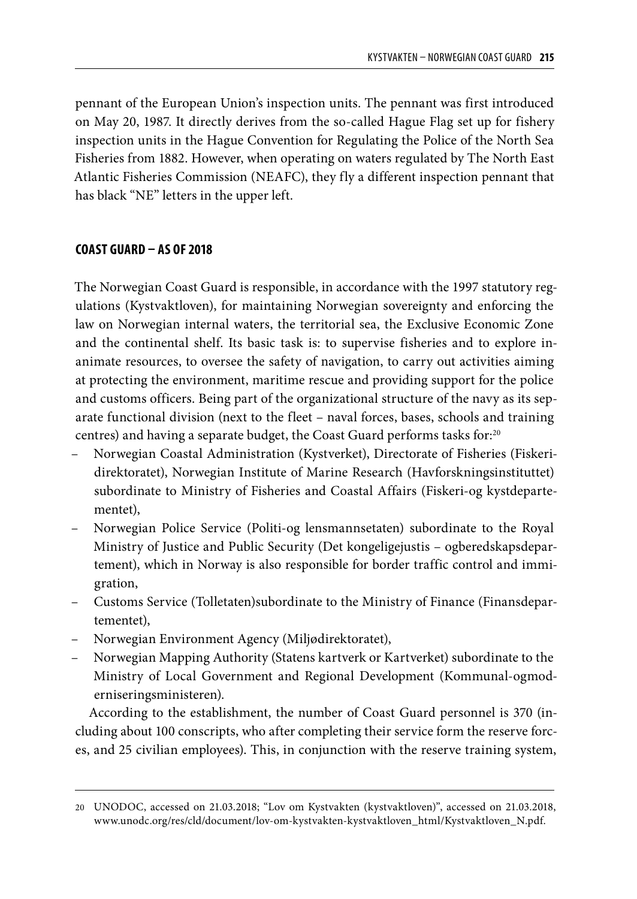pennant of the European Union's inspection units. The pennant was first introduced on May 20, 1987. It directly derives from the so-called Hague Flag set up for fishery inspection units in the Hague Convention for Regulating the Police of the North Sea Fisheries from 1882. However, when operating on waters regulated by The North East Atlantic Fisheries Commission (NEAFC), they fly a different inspection pennant that has black "NE" letters in the upper left.

### **COAST GUARD – AS OF 2018**

The Norwegian Coast Guard is responsible, in accordance with the 1997 statutory regulations (Kystvaktloven), for maintaining Norwegian sovereignty and enforcing the law on Norwegian internal waters, the territorial sea, the Exclusive Economic Zone and the continental shelf. Its basic task is: to supervise fisheries and to explore inanimate resources, to oversee the safety of navigation, to carry out activities aiming at protecting the environment, maritime rescue and providing support for the police and customs officers. Being part of the organizational structure of the navy as its separate functional division (next to the fleet – naval forces, bases, schools and training centres) and having a separate budget, the Coast Guard performs tasks for:20

- Norwegian Coastal Administration (Kystverket), Directorate of Fisheries (Fiskeridirektoratet), Norwegian Institute of Marine Research (Havforskningsinstituttet) subordinate to Ministry of Fisheries and Coastal Affairs (Fiskeri-og kystdepartementet),
- Norwegian Police Service (Politi-og lensmannsetaten) subordinate to the Royal Ministry of Justice and Public Security (Det kongeligejustis – ogberedskapsdepartement), which in Norway is also responsible for border traffic control and immigration,
- Customs Service (Tolletaten)subordinate to the Ministry of Finance (Finansdepartementet),
- Norwegian Environment Agency (Miljødirektoratet),
- Norwegian Mapping Authority (Statens kartverk or Kartverket) subordinate to the Ministry of Local Government and Regional Development (Kommunal-ogmoderniseringsministeren).

According to the establishment, the number of Coast Guard personnel is 370 (including about 100 conscripts, who after completing their service form the reserve forces, and 25 civilian employees). This, in conjunction with the reserve training system,

<sup>20</sup> UNODOC, accessed on 21.03.2018; "Lov om Kystvakten (kystvaktloven)", accessed on 21.03.2018, www.unodc.org/res/cld/document/lov-om-kystvakten-kystvaktloven\_html/Kystvaktloven\_N.pdf.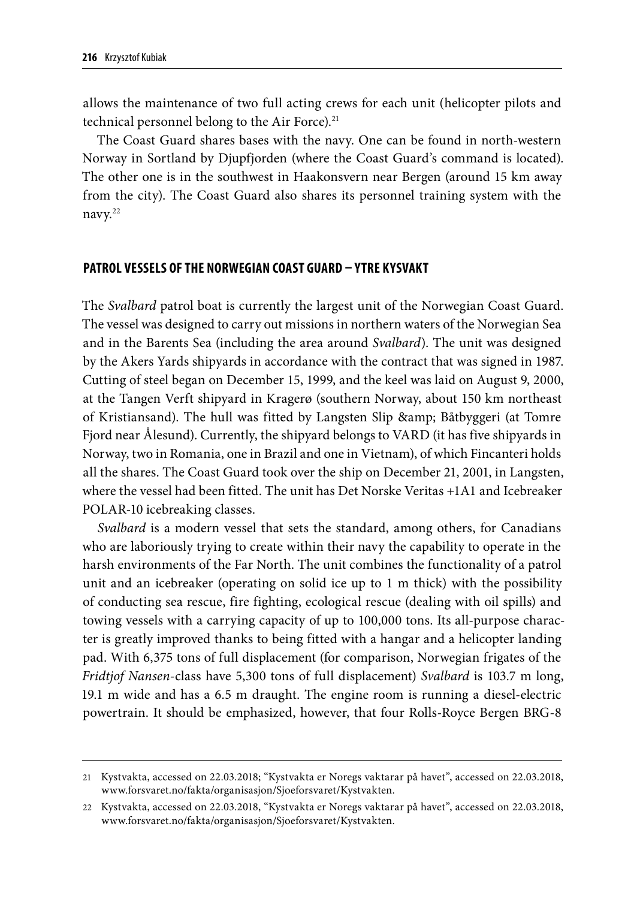allows the maintenance of two full acting crews for each unit (helicopter pilots and technical personnel belong to the Air Force).<sup>21</sup>

The Coast Guard shares bases with the navy. One can be found in north-western Norway in Sortland by Djupfjorden (where the Coast Guard's command is located). The other one is in the southwest in Haakonsvern near Bergen (around 15 km away from the city). The Coast Guard also shares its personnel training system with the navy.22

### **PATROL VESSELS OF THE NORWEGIAN COAST GUARD – YTRE KYSVAKT**

The *Svalbard* patrol boat is currently the largest unit of the Norwegian Coast Guard. The vessel was designed to carry out missions in northern waters of the Norwegian Sea and in the Barents Sea (including the area around *Svalbard*). The unit was designed by the Akers Yards shipyards in accordance with the contract that was signed in 1987. Cutting of steel began on December 15, 1999, and the keel was laid on August 9, 2000, at the Tangen Verft shipyard in Kragerø (southern Norway, about 150 km northeast of Kristiansand). The hull was fitted by Langsten Slip & amp; Båtbyggeri (at Tomre Fjord near Ålesund). Currently, the shipyard belongs to VARD (it has five shipyards in Norway, two in Romania, one in Brazil and one in Vietnam), of which Fincanteri holds all the shares. The Coast Guard took over the ship on December 21, 2001, in Langsten, where the vessel had been fitted. The unit has Det Norske Veritas +1A1 and Icebreaker POLAR-10 icebreaking classes.

*Svalbard* is a modern vessel that sets the standard, among others, for Canadians who are laboriously trying to create within their navy the capability to operate in the harsh environments of the Far North. The unit combines the functionality of a patrol unit and an icebreaker (operating on solid ice up to 1 m thick) with the possibility of conducting sea rescue, fire fighting, ecological rescue (dealing with oil spills) and towing vessels with a carrying capacity of up to 100,000 tons. Its all-purpose character is greatly improved thanks to being fitted with a hangar and a helicopter landing pad. With 6,375 tons of full displacement (for comparison, Norwegian frigates of the *Fridtjof Nansen*-class have 5,300 tons of full displacement) *Svalbard* is 103.7 m long, 19.1 m wide and has a 6.5 m draught. The engine room is running a diesel-electric powertrain. It should be emphasized, however, that four Rolls-Royce Bergen BRG-8

<sup>21</sup> Kystvakta, accessed on 22.03.2018; "Kystvakta er Noregs vaktarar på havet", accessed on 22.03.2018, www.forsvaret.no/fakta/organisasjon/Sjoeforsvaret/Kystvakten.

<sup>22</sup> Kystvakta, accessed on 22.03.2018, "Kystvakta er Noregs vaktarar på havet", accessed on 22.03.2018, www.forsvaret.no/fakta/organisasjon/Sjoeforsvaret/Kystvakten.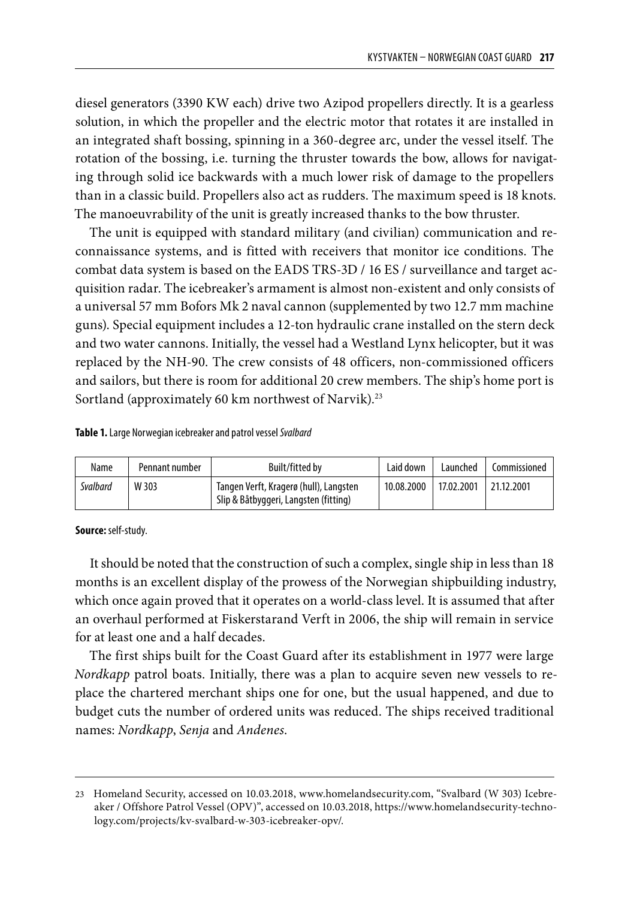diesel generators (3390 KW each) drive two Azipod propellers directly. It is a gearless solution, in which the propeller and the electric motor that rotates it are installed in an integrated shaft bossing, spinning in a 360-degree arc, under the vessel itself. The rotation of the bossing, i.e. turning the thruster towards the bow, allows for navigating through solid ice backwards with a much lower risk of damage to the propellers than in a classic build. Propellers also act as rudders. The maximum speed is 18 knots. The manoeuvrability of the unit is greatly increased thanks to the bow thruster.

The unit is equipped with standard military (and civilian) communication and reconnaissance systems, and is fitted with receivers that monitor ice conditions. The combat data system is based on the EADS TRS-3D / 16 ES / surveillance and target acquisition radar. The icebreaker's armament is almost non-existent and only consists of a universal 57 mm Bofors Mk 2 naval cannon (supplemented by two 12.7 mm machine guns). Special equipment includes a 12-ton hydraulic crane installed on the stern deck and two water cannons. Initially, the vessel had a Westland Lynx helicopter, but it was replaced by the NH-90. The crew consists of 48 officers, non-commissioned officers and sailors, but there is room for additional 20 crew members. The ship's home port is Sortland (approximately 60 km northwest of Narvik).<sup>23</sup>

#### **Table 1.** Large Norwegian icebreaker and patrol vessel *Svalbard*

| Name     | Pennant number | Built/fitted by                                                                 | Laid down  | Launched   | Commissioned |
|----------|----------------|---------------------------------------------------------------------------------|------------|------------|--------------|
| Svalbard | W 303          | Tangen Verft, Kragerø (hull), Langsten<br>Slip & Båtbyggeri, Langsten (fitting) | 10.08.2000 | 17.02.2001 | 21.12.2001   |

**Source:** self-study.

It should be noted that the construction of such a complex, single ship in less than 18 months is an excellent display of the prowess of the Norwegian shipbuilding industry, which once again proved that it operates on a world-class level. It is assumed that after an overhaul performed at Fiskerstarand Verft in 2006, the ship will remain in service for at least one and a half decades.

The first ships built for the Coast Guard after its establishment in 1977 were large *Nordkapp* patrol boats. Initially, there was a plan to acquire seven new vessels to replace the chartered merchant ships one for one, but the usual happened, and due to budget cuts the number of ordered units was reduced. The ships received traditional names: *Nordkapp*, *Senja* and *Andenes*.

<sup>23</sup> Homeland Security, accessed on 10.03.2018, www.homelandsecurity.com, "Svalbard (W 303) Icebreaker / Offshore Patrol Vessel (OPV)", accessed on 10.03.2018, https://www.homelandsecurity-technology.com/projects/kv-svalbard-w-303-icebreaker-opv/.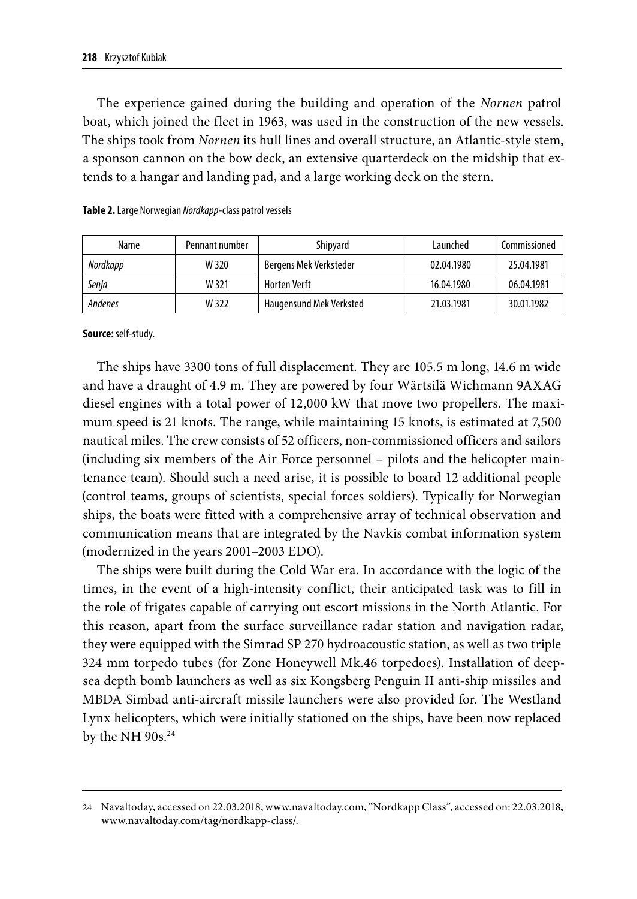The experience gained during the building and operation of the *Nornen* patrol boat, which joined the fleet in 1963, was used in the construction of the new vessels. The ships took from *Nornen* its hull lines and overall structure, an Atlantic-style stem, a sponson cannon on the bow deck, an extensive quarterdeck on the midship that extends to a hangar and landing pad, and a large working deck on the stern.

| Name           | Pennant number | Shipyard                       | Launched   | Commissioned |
|----------------|----------------|--------------------------------|------------|--------------|
| Nordkapp       | W 320          | Bergens Mek Verksteder         | 02.04.1980 | 25.04.1981   |
| Senja          | W 321          | <b>Horten Verft</b>            | 16.04.1980 | 06.04.1981   |
| <b>Andenes</b> | W 322          | <b>Haugensund Mek Verksted</b> | 21.03.1981 | 30.01.1982   |

**Source:** self-study.

The ships have 3300 tons of full displacement. They are 105.5 m long, 14.6 m wide and have a draught of 4.9 m. They are powered by four Wärtsilä Wichmann 9AXAG diesel engines with a total power of 12,000 kW that move two propellers. The maximum speed is 21 knots. The range, while maintaining 15 knots, is estimated at 7,500 nautical miles. The crew consists of 52 officers, non-commissioned officers and sailors (including six members of the Air Force personnel – pilots and the helicopter maintenance team). Should such a need arise, it is possible to board 12 additional people (control teams, groups of scientists, special forces soldiers). Typically for Norwegian ships, the boats were fitted with a comprehensive array of technical observation and communication means that are integrated by the Navkis combat information system (modernized in the years 2001–2003 EDO).

The ships were built during the Cold War era. In accordance with the logic of the times, in the event of a high-intensity conflict, their anticipated task was to fill in the role of frigates capable of carrying out escort missions in the North Atlantic. For this reason, apart from the surface surveillance radar station and navigation radar, they were equipped with the Simrad SP 270 hydroacoustic station, as well as two triple 324 mm torpedo tubes (for Zone Honeywell Mk.46 torpedoes). Installation of deepsea depth bomb launchers as well as six Kongsberg Penguin II anti-ship missiles and MBDA Simbad anti-aircraft missile launchers were also provided for. The Westland Lynx helicopters, which were initially stationed on the ships, have been now replaced by the NH 90s.<sup>24</sup>

<sup>24</sup> Navaltoday, accessed on 22.03.2018, www.navaltoday.com, "Nordkapp Class", accessed on: 22.03.2018, www.navaltoday.com/tag/nordkapp-class/.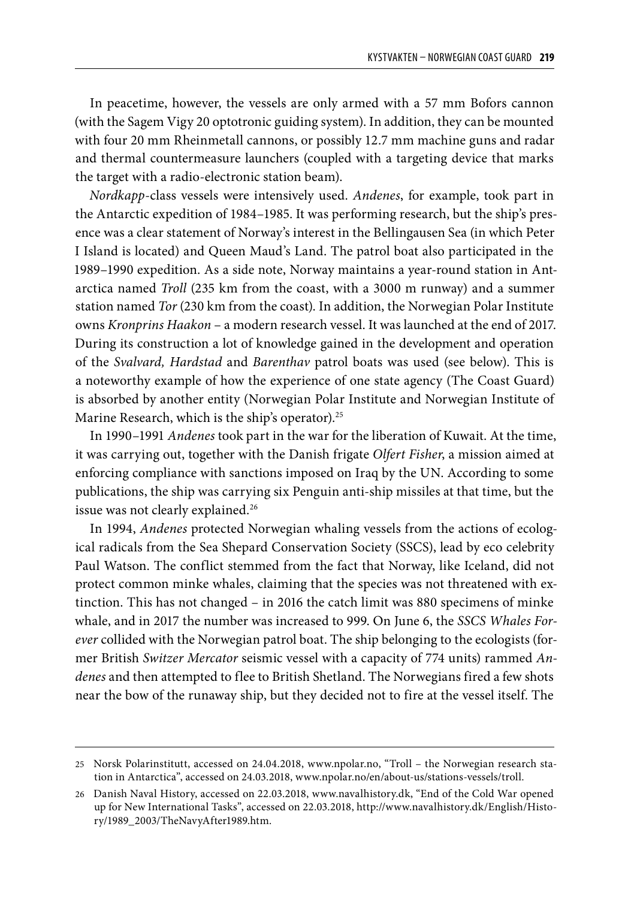In peacetime, however, the vessels are only armed with a 57 mm Bofors cannon (with the Sagem Vigy 20 optotronic guiding system). In addition, they can be mounted with four 20 mm Rheinmetall cannons, or possibly 12.7 mm machine guns and radar and thermal countermeasure launchers (coupled with a targeting device that marks the target with a radio-electronic station beam).

*Nordkapp*-class vessels were intensively used. *Andenes*, for example, took part in the Antarctic expedition of 1984–1985. It was performing research, but the ship's presence was a clear statement of Norway's interest in the Bellingausen Sea (in which Peter I Island is located) and Queen Maud's Land. The patrol boat also participated in the 1989–1990 expedition. As a side note, Norway maintains a year-round station in Antarctica named *Troll* (235 km from the coast, with a 3000 m runway) and a summer station named *Tor* (230 km from the coast). In addition, the Norwegian Polar Institute owns *Kronprins Haakon* – a modern research vessel. It was launched at the end of 2017. During its construction a lot of knowledge gained in the development and operation of the *Svalvard, Hardstad* and *Barenthav* patrol boats was used (see below). This is a noteworthy example of how the experience of one state agency (The Coast Guard) is absorbed by another entity (Norwegian Polar Institute and Norwegian Institute of Marine Research, which is the ship's operator).<sup>25</sup>

In 1990–1991 *Andenes* took part in the war for the liberation of Kuwait. At the time, it was carrying out, together with the Danish frigate *Olfert Fisher*, a mission aimed at enforcing compliance with sanctions imposed on Iraq by the UN. According to some publications, the ship was carrying six Penguin anti-ship missiles at that time, but the issue was not clearly explained.<sup>26</sup>

In 1994, *Andenes* protected Norwegian whaling vessels from the actions of ecological radicals from the Sea Shepard Conservation Society (SSCS), lead by eco celebrity Paul Watson. The conflict stemmed from the fact that Norway, like Iceland, did not protect common minke whales, claiming that the species was not threatened with extinction. This has not changed – in 2016 the catch limit was 880 specimens of minke whale, and in 2017 the number was increased to 999. On June 6, the *SSCS Whales Forever* collided with the Norwegian patrol boat. The ship belonging to the ecologists (former British *Switzer Mercator* seismic vessel with a capacity of 774 units) rammed *Andenes* and then attempted to flee to British Shetland. The Norwegians fired a few shots near the bow of the runaway ship, but they decided not to fire at the vessel itself. The

<sup>25</sup> Norsk Polarinstitutt, accessed on 24.04.2018, www.npolar.no, "Troll – the Norwegian research station in Antarctica", accessed on 24.03.2018, www.npolar.no/en/about-us/stations-vessels/troll.

<sup>26</sup> Danish Naval History, accessed on 22.03.2018, www.navalhistory.dk, "End of the Cold War opened up for New International Tasks", accessed on 22.03.2018, http://www.navalhistory.dk/English/History/1989\_2003/TheNavyAfter1989.htm.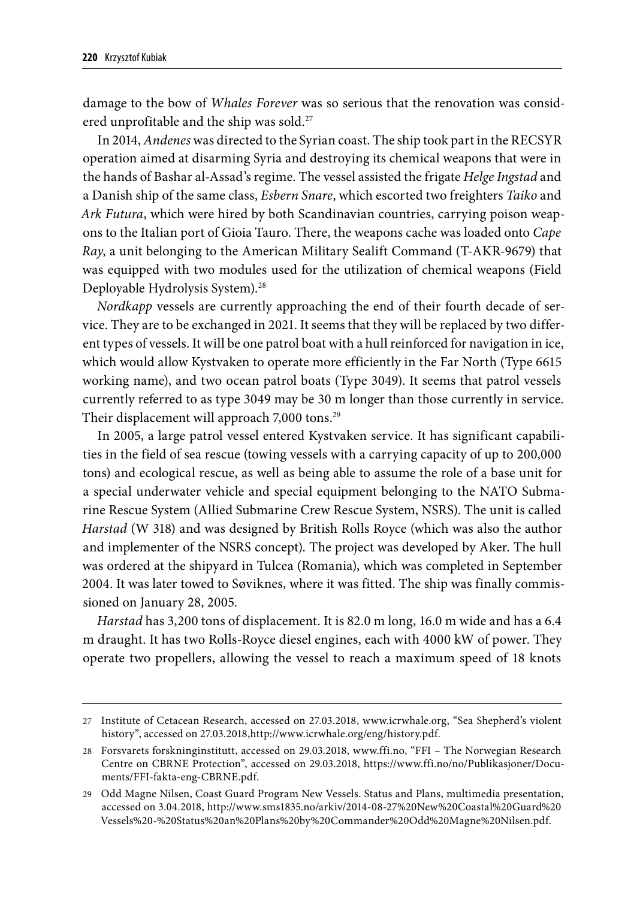damage to the bow of *Whales Forever* was so serious that the renovation was considered unprofitable and the ship was sold.<sup>27</sup>

In 2014, *Andenes* was directed to the Syrian coast. The ship took part in the RECSYR operation aimed at disarming Syria and destroying its chemical weapons that were in the hands of Bashar al-Assad's regime. The vessel assisted the frigate *Helge Ingstad* and a Danish ship of the same class, *Esbern Snare*, which escorted two freighters *Taiko* and *Ark Futura*, which were hired by both Scandinavian countries, carrying poison weapons to the Italian port of Gioia Tauro. There, the weapons cache was loaded onto *Cape Ray*, a unit belonging to the American Military Sealift Command (T-AKR-9679) that was equipped with two modules used for the utilization of chemical weapons (Field Deployable Hydrolysis System).<sup>28</sup>

*Nordkapp* vessels are currently approaching the end of their fourth decade of service. They are to be exchanged in 2021. It seems that they will be replaced by two different types of vessels. It will be one patrol boat with a hull reinforced for navigation in ice, which would allow Kystvaken to operate more efficiently in the Far North (Type 6615 working name), and two ocean patrol boats (Type 3049). It seems that patrol vessels currently referred to as type 3049 may be 30 m longer than those currently in service. Their displacement will approach 7,000 tons.<sup>29</sup>

In 2005, a large patrol vessel entered Kystvaken service. It has significant capabilities in the field of sea rescue (towing vessels with a carrying capacity of up to 200,000 tons) and ecological rescue, as well as being able to assume the role of a base unit for a special underwater vehicle and special equipment belonging to the NATO Submarine Rescue System (Allied Submarine Crew Rescue System, NSRS). The unit is called *Harstad* (W 318) and was designed by British Rolls Royce (which was also the author and implementer of the NSRS concept). The project was developed by Aker. The hull was ordered at the shipyard in Tulcea (Romania), which was completed in September 2004. It was later towed to Søviknes, where it was fitted. The ship was finally commissioned on January 28, 2005.

*Harstad* has 3,200 tons of displacement. It is 82.0 m long, 16.0 m wide and has a 6.4 m draught. It has two Rolls-Royce diesel engines, each with 4000 kW of power. They operate two propellers, allowing the vessel to reach a maximum speed of 18 knots

<sup>27</sup> Institute of Cetacean Research, accessed on 27.03.2018, www.icrwhale.org, "Sea Shepherd's violent history", accessed on 27.03.2018,http://www.icrwhale.org/eng/history.pdf.

<sup>28</sup> Forsvarets forskninginstitutt, accessed on 29.03.2018, www.ffi.no, "FFI – The Norwegian Research Centre on CBRNE Protection", accessed on 29.03.2018, https://www.ffi.no/no/Publikasjoner/Documents/FFI-fakta-eng-CBRNE.pdf.

<sup>29</sup> Odd Magne Nilsen, Coast Guard Program New Vessels. Status and Plans, multimedia presentation, accessed on 3.04.2018, http://www.sms1835.no/arkiv/2014-08-27%20New%20Coastal%20Guard%20 Vessels%20-%20Status%20an%20Plans%20by%20Commander%20Odd%20Magne%20Nilsen.pdf.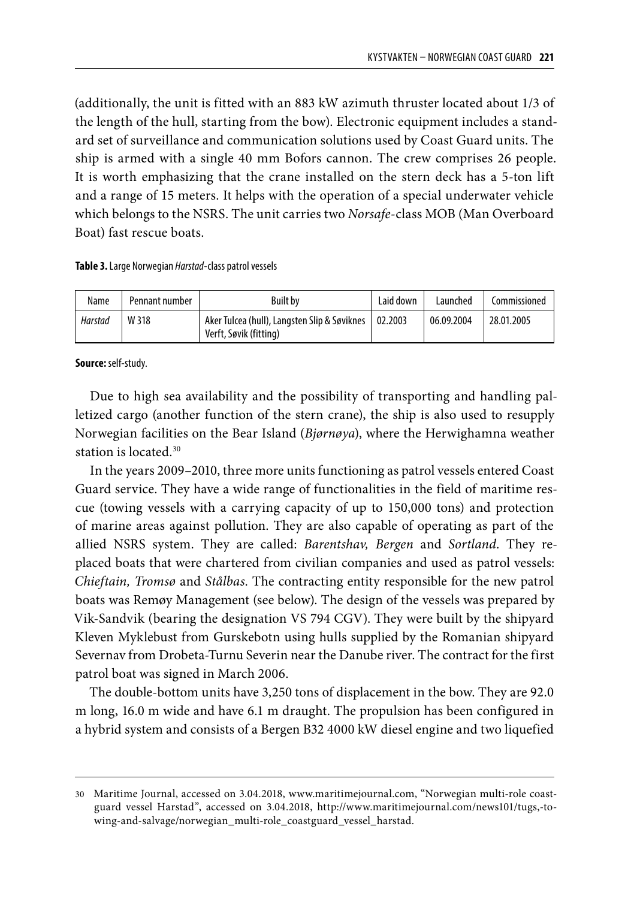(additionally, the unit is fitted with an 883 kW azimuth thruster located about 1/3 of the length of the hull, starting from the bow). Electronic equipment includes a standard set of surveillance and communication solutions used by Coast Guard units. The ship is armed with a single 40 mm Bofors cannon. The crew comprises 26 people. It is worth emphasizing that the crane installed on the stern deck has a 5-ton lift and a range of 15 meters. It helps with the operation of a special underwater vehicle which belongs to the NSRS. The unit carries two *Norsafe*-class MOB (Man Overboard Boat) fast rescue boats.

### **Table 3.** Large Norwegian *Harstad*-class patrol vessels

| Name    | Pennant number | <b>Built by</b>                                                        | Laid down | Launched   | Commissioned |
|---------|----------------|------------------------------------------------------------------------|-----------|------------|--------------|
| Harstad | W 318          | Aker Tulcea (hull), Langsten Slip & Søviknes<br>Verft, Søvik (fitting) | 02.2003   | 06.09.2004 | 28.01.2005   |

**Source:** self-study.

Due to high sea availability and the possibility of transporting and handling palletized cargo (another function of the stern crane), the ship is also used to resupply Norwegian facilities on the Bear Island (*Bjørnøya*), where the Herwighamna weather station is located.30

In the years 2009–2010, three more units functioning as patrol vessels entered Coast Guard service. They have a wide range of functionalities in the field of maritime rescue (towing vessels with a carrying capacity of up to 150,000 tons) and protection of marine areas against pollution. They are also capable of operating as part of the allied NSRS system. They are called: *Barentshav, Bergen* and *Sortland*. They replaced boats that were chartered from civilian companies and used as patrol vessels: *Chieftain, Tromsø* and *Stålbas*. The contracting entity responsible for the new patrol boats was Remøy Management (see below). The design of the vessels was prepared by Vik-Sandvik (bearing the designation VS 794 CGV). They were built by the shipyard Kleven Myklebust from Gurskebotn using hulls supplied by the Romanian shipyard Severnav from Drobeta-Turnu Severin near the Danube river. The contract for the first patrol boat was signed in March 2006.

The double-bottom units have 3,250 tons of displacement in the bow. They are 92.0 m long, 16.0 m wide and have 6.1 m draught. The propulsion has been configured in a hybrid system and consists of a Bergen B32 4000 kW diesel engine and two liquefied

<sup>30</sup> Maritime Journal, accessed on 3.04.2018, www.maritimejournal.com, "Norwegian multi-role coastguard vessel Harstad", accessed on 3.04.2018, http://www.maritimejournal.com/news101/tugs,-towing-and-salvage/norwegian\_multi-role\_coastguard\_vessel\_harstad.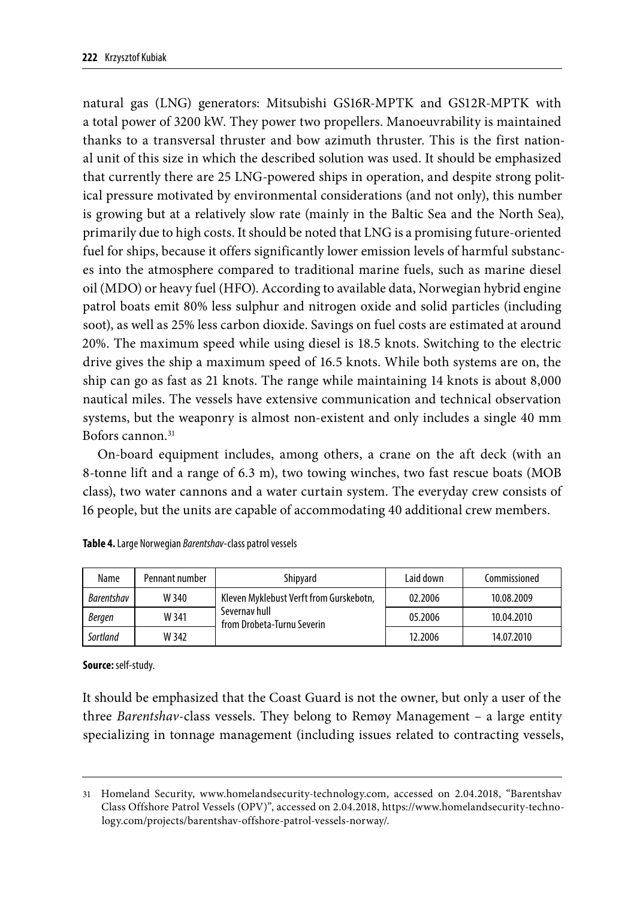natural gas (LNG) generators: Mitsubishi GS16R-MPTK and GS12R-MPTK with a total power of 3200 kW. They power two propellers. Manoeuvrability is maintained thanks to a transversal thruster and bow azimuth thruster. This is the first national unit of this size in which the described solution was used. It should be emphasized that currently there are 25 LNG-powered ships in operation, and despite strong political pressure motivated by environmental considerations (and not only), this number is growing but at a relatively slow rate (mainly in the Baltic Sea and the North Sea), primarily due to high costs. It should be noted that LNG is a promising future-oriented fuel for ships, because it offers significantly lower emission levels of harmful substances into the atmosphere compared to traditional marine fuels, such as marine diesel oil (MDO) or heavy fuel (HFO). According to available data, Norwegian hybrid engine patrol boats emit 80% less sulphur and nitrogen oxide and solid particles (including soot), as well as 25% less carbon dioxide. Savings on fuel costs are estimated at around 20%. The maximum speed while using diesel is 18.5 knots. Switching to the electric drive gives the ship a maximum speed of 16.5 knots. While both systems are on, the ship can go as fast as 21 knots. The range while maintaining 14 knots is about 8,000 nautical miles. The vessels have extensive communication and technical observation systems, but the weaponry is almost non-existent and only includes a single 40 mm Bofors cannon.<sup>31</sup>

On-board equipment includes, among others, a crane on the aft deck (with an 8-tonne lift and a range of 6.3 m), two towing winches, two fast rescue boats (MOB class), two water cannons and a water curtain system. The everyday crew consists of 16 people, but the units are capable of accommodating 40 additional crew members.

| Name       | Pennant number | Shipyard                                    | Laid down | Commissioned |
|------------|----------------|---------------------------------------------|-----------|--------------|
| Barentshav | W 340          | Kleven Myklebust Verft from Gurskebotn.     | 02.2006   | 10.08.2009   |
| Bergen     | W 341          | Severnav hull<br>from Drobeta-Turnu Severin | 05.2006   | 10.04.2010   |
| Sortland   | W 342          |                                             | 12.2006   | 14.07.2010   |

**Source:** self-study.

It should be emphasized that the Coast Guard is not the owner, but only a user of the three *Barentshav*-class vessels. They belong to Remøy Management – a large entity specializing in tonnage management (including issues related to contracting vessels,

<sup>31</sup> Homeland Security, www.homelandsecurity-technology.com, accessed on 2.04.2018, "Barentshav Class Offshore Patrol Vessels (OPV)", accessed on 2.04.2018, https://www.homelandsecurity-technology.com/projects/barentshav-offshore-patrol-vessels-norway/.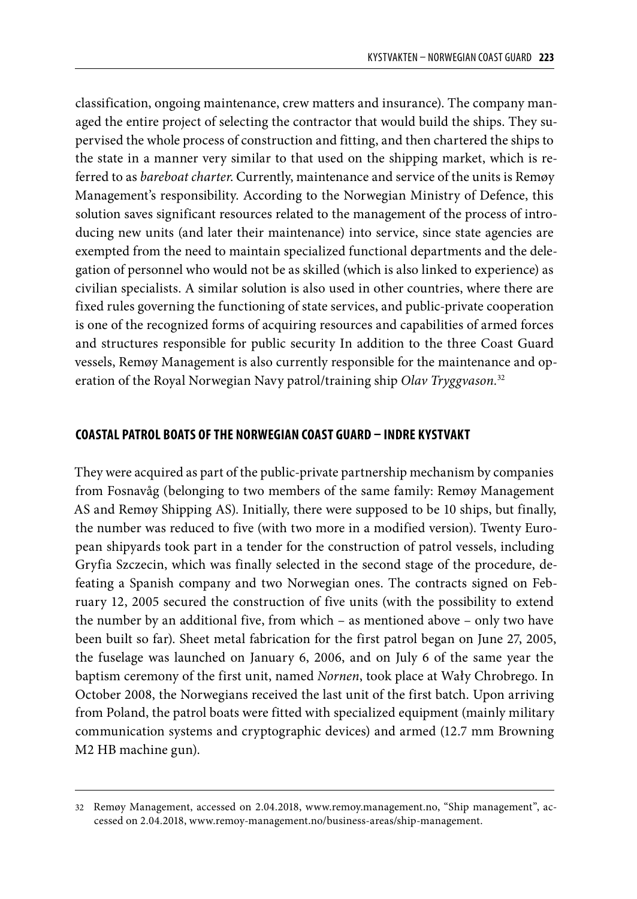classification, ongoing maintenance, crew matters and insurance). The company managed the entire project of selecting the contractor that would build the ships. They supervised the whole process of construction and fitting, and then chartered the ships to the state in a manner very similar to that used on the shipping market, which is referred to as *bareboat charter*. Currently, maintenance and service of the units is Remøy Management's responsibility. According to the Norwegian Ministry of Defence, this solution saves significant resources related to the management of the process of introducing new units (and later their maintenance) into service, since state agencies are exempted from the need to maintain specialized functional departments and the delegation of personnel who would not be as skilled (which is also linked to experience) as civilian specialists. A similar solution is also used in other countries, where there are fixed rules governing the functioning of state services, and public-private cooperation is one of the recognized forms of acquiring resources and capabilities of armed forces and structures responsible for public security In addition to the three Coast Guard vessels, Remøy Management is also currently responsible for the maintenance and operation of the Royal Norwegian Navy patrol/training ship *Olav Tryggvason.*<sup>32</sup>

### **COASTAL PATROL BOATS OF THE NORWEGIAN COAST GUARD – INDRE KYSTVAKT**

They were acquired as part of the public-private partnership mechanism by companies from Fosnavåg (belonging to two members of the same family: Remøy Management AS and Remøy Shipping AS). Initially, there were supposed to be 10 ships, but finally, the number was reduced to five (with two more in a modified version). Twenty European shipyards took part in a tender for the construction of patrol vessels, including Gryfia Szczecin, which was finally selected in the second stage of the procedure, defeating a Spanish company and two Norwegian ones. The contracts signed on February 12, 2005 secured the construction of five units (with the possibility to extend the number by an additional five, from which – as mentioned above – only two have been built so far). Sheet metal fabrication for the first patrol began on June 27, 2005, the fuselage was launched on January 6, 2006, and on July 6 of the same year the baptism ceremony of the first unit, named *Nornen*, took place at Wały Chrobrego. In October 2008, the Norwegians received the last unit of the first batch. Upon arriving from Poland, the patrol boats were fitted with specialized equipment (mainly military communication systems and cryptographic devices) and armed (12.7 mm Browning M2 HB machine gun).

<sup>32</sup> Remøy Management, accessed on 2.04.2018, www.remoy.management.no, "Ship management", accessed on 2.04.2018, www.remoy-management.no/business-areas/ship-management.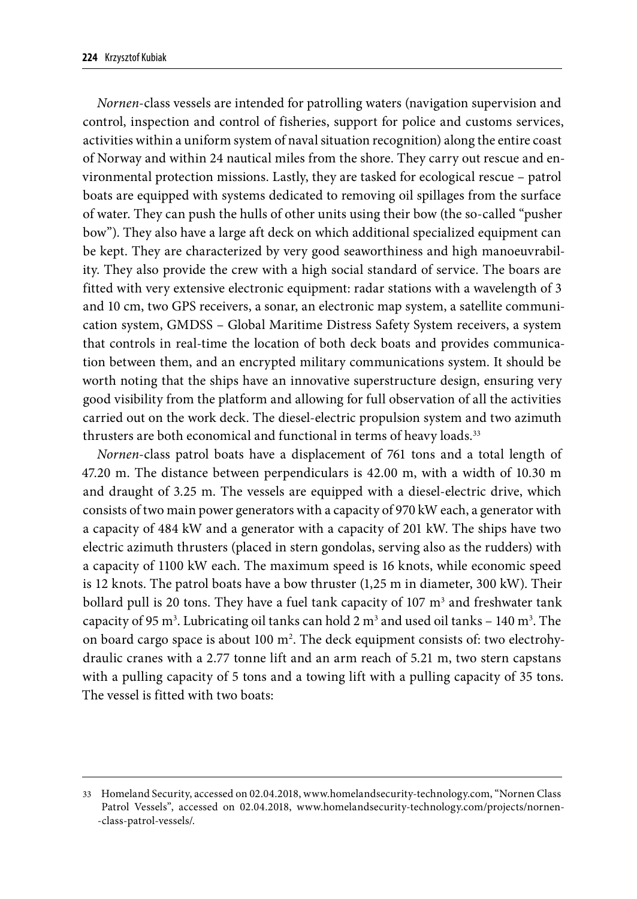*Nornen*-class vessels are intended for patrolling waters (navigation supervision and control, inspection and control of fisheries, support for police and customs services, activities within a uniform system of naval situation recognition) along the entire coast of Norway and within 24 nautical miles from the shore. They carry out rescue and environmental protection missions. Lastly, they are tasked for ecological rescue – patrol boats are equipped with systems dedicated to removing oil spillages from the surface of water. They can push the hulls of other units using their bow (the so-called "pusher bow"). They also have a large aft deck on which additional specialized equipment can be kept. They are characterized by very good seaworthiness and high manoeuvrability. They also provide the crew with a high social standard of service. The boars are fitted with very extensive electronic equipment: radar stations with a wavelength of 3 and 10 cm, two GPS receivers, a sonar, an electronic map system, a satellite communication system, GMDSS – Global Maritime Distress Safety System receivers, a system that controls in real-time the location of both deck boats and provides communication between them, and an encrypted military communications system. It should be worth noting that the ships have an innovative superstructure design, ensuring very good visibility from the platform and allowing for full observation of all the activities carried out on the work deck. The diesel-electric propulsion system and two azimuth thrusters are both economical and functional in terms of heavy loads.<sup>33</sup>

*Nornen*-class patrol boats have a displacement of 761 tons and a total length of 47.20 m. The distance between perpendiculars is 42.00 m, with a width of 10.30 m and draught of 3.25 m. The vessels are equipped with a diesel-electric drive, which consists of two main power generators with a capacity of 970 kW each, a generator with a capacity of 484 kW and a generator with a capacity of 201 kW. The ships have two electric azimuth thrusters (placed in stern gondolas, serving also as the rudders) with a capacity of 1100 kW each. The maximum speed is 16 knots, while economic speed is 12 knots. The patrol boats have a bow thruster (1,25 m in diameter, 300 kW). Their bollard pull is 20 tons. They have a fuel tank capacity of 107  $\mathrm{m}^{_3}$  and freshwater tank capacity of 95 m<sup>3</sup>. Lubricating oil tanks can hold 2 m<sup>3</sup> and used oil tanks – 140 m<sup>3</sup>. The on board cargo space is about 100 m². The deck equipment consists of: two electrohydraulic cranes with a 2.77 tonne lift and an arm reach of 5.21 m, two stern capstans with a pulling capacity of 5 tons and a towing lift with a pulling capacity of 35 tons. The vessel is fitted with two boats:

<sup>33</sup> Homeland Security, accessed on 02.04.2018, www.homelandsecurity-technology.com, "Nornen Class Patrol Vessels", accessed on 02.04.2018, www.homelandsecurity-technology.com/projects/nornen- -class-patrol-vessels/.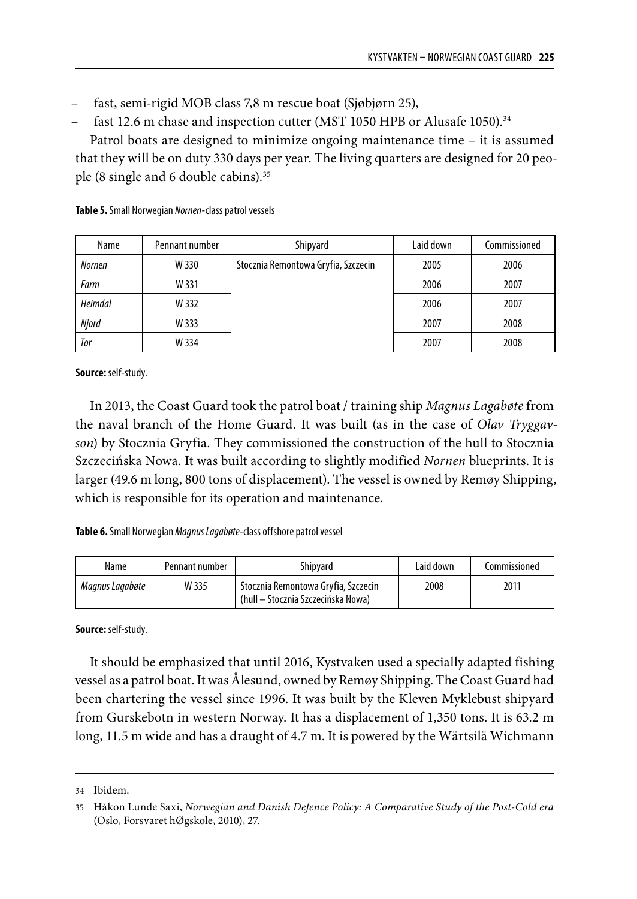- fast, semi-rigid MOB class 7,8 m rescue boat (Sjøbjørn 25),
- fast 12.6 m chase and inspection cutter (MST 1050 HPB or Alusafe 1050).<sup>34</sup>

Patrol boats are designed to minimize ongoing maintenance time – it is assumed that they will be on duty 330 days per year. The living quarters are designed for 20 people (8 single and 6 double cabins).35

| Name           | Pennant number | Shipyard                            | Laid down | Commissioned |
|----------------|----------------|-------------------------------------|-----------|--------------|
| <b>Nornen</b>  | W 330          | Stocznia Remontowa Gryfia, Szczecin | 2005      | 2006         |
| Farm           | W 331          |                                     | 2006      | 2007         |
| <b>Heimdal</b> | W 332          |                                     | 2006      | 2007         |
| Njord          | W 333          |                                     | 2007      | 2008         |
| Tor            | W 334          |                                     | 2007      | 2008         |

**Table 5.** Small Norwegian *Nornen*-class patrol vessels

**Source:** self-study.

In 2013, the Coast Guard took the patrol boat / training ship *Magnus Lagabøte* from the naval branch of the Home Guard. It was built (as in the case of *Olav Tryggavson*) by Stocznia Gryfia. They commissioned the construction of the hull to Stocznia Szczecińska Nowa. It was built according to slightly modified *Nornen* blueprints. It is larger (49.6 m long, 800 tons of displacement). The vessel is owned by Remøy Shipping, which is responsible for its operation and maintenance.

**Table 6.** Small Norwegian *Magnus Lagabøte*-class offshore patrol vessel

| Name            | Pennant number | Shipyard                                                                  | Laid down | Commissioned |
|-----------------|----------------|---------------------------------------------------------------------------|-----------|--------------|
| Magnus Lagabøte | W 335          | Stocznia Remontowa Gryfia, Szczecin<br>(hull – Stocznia Szczecińska Nowa) | 2008      | 2011         |

**Source:** self-study.

It should be emphasized that until 2016, Kystvaken used a specially adapted fishing vessel as a patrol boat. It was Ålesund, owned by Remøy Shipping. The Coast Guard had been chartering the vessel since 1996. It was built by the Kleven Myklebust shipyard from Gurskebotn in western Norway. It has a displacement of 1,350 tons. It is 63.2 m long, 11.5 m wide and has a draught of 4.7 m. It is powered by the Wärtsilä Wichmann

<sup>34</sup> Ibidem.

<sup>35</sup> Håkon Lunde Saxi, *Norwegian and Danish Defence Policy: A Comparative Study of the Post-Cold era* (Oslo, Forsvaret hØgskole, 2010), 27.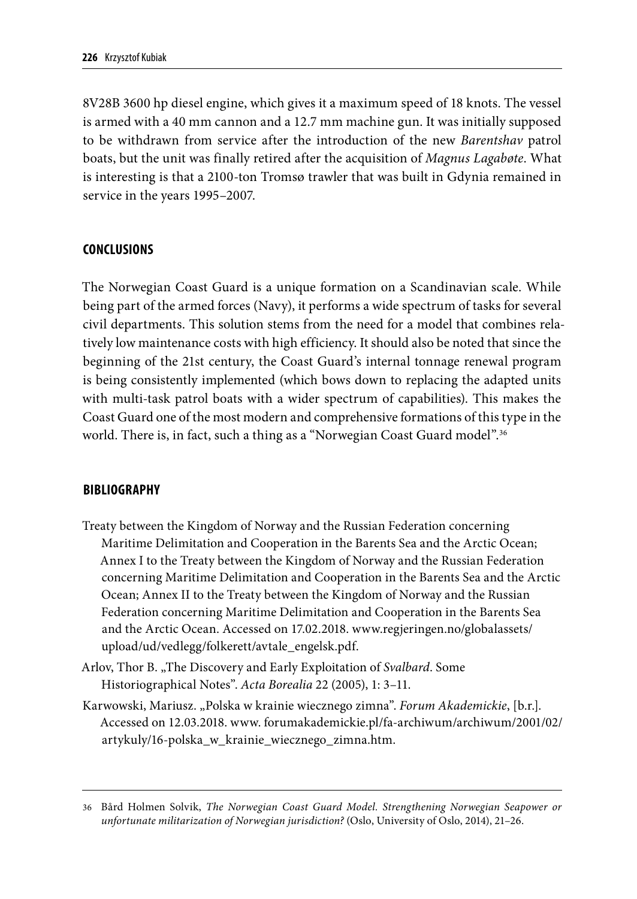8V28B 3600 hp diesel engine, which gives it a maximum speed of 18 knots. The vessel is armed with a 40 mm cannon and a 12.7 mm machine gun. It was initially supposed to be withdrawn from service after the introduction of the new *Barentshav* patrol boats, but the unit was finally retired after the acquisition of *Magnus Lagabøte*. What is interesting is that a 2100-ton Tromsø trawler that was built in Gdynia remained in service in the years 1995–2007.

### **CONCLUSIONS**

The Norwegian Coast Guard is a unique formation on a Scandinavian scale. While being part of the armed forces (Navy), it performs a wide spectrum of tasks for several civil departments. This solution stems from the need for a model that combines relatively low maintenance costs with high efficiency. It should also be noted that since the beginning of the 21st century, the Coast Guard's internal tonnage renewal program is being consistently implemented (which bows down to replacing the adapted units with multi-task patrol boats with a wider spectrum of capabilities). This makes the Coast Guard one of the most modern and comprehensive formations of this type in the world. There is, in fact, such a thing as a "Norwegian Coast Guard model".<sup>36</sup>

### **BIBLIOGRAPHY**

- Treaty between the Kingdom of Norway and the Russian Federation concerning Maritime Delimitation and Cooperation in the Barents Sea and the Arctic Ocean; Annex I to the Treaty between the Kingdom of Norway and the Russian Federation concerning Maritime Delimitation and Cooperation in the Barents Sea and the Arctic Ocean; Annex II to the Treaty between the Kingdom of Norway and the Russian Federation concerning Maritime Delimitation and Cooperation in the Barents Sea and the Arctic Ocean. Accessed on 17.02.2018. www.regjeringen.no/globalassets/ upload/ud/vedlegg/folkerett/avtale\_engelsk.pdf.
- Arlov, Thor B. "The Discovery and Early Exploitation of *Svalbard*. Some Historiographical Notes". *Acta Borealia* 22 (2005), 1: 3–11.
- Karwowski, Mariusz. "Polska w krainie wiecznego zimna". *Forum Akademickie*, [b.r.]. Accessed on 12.03.2018. www. forumakademickie.pl/fa-archiwum/archiwum/2001/02/ artykuly/16-polska\_w\_krainie\_wiecznego\_zimna.htm.

<sup>36</sup> Bård Holmen Solvik, *The Norwegian Coast Guard Model. Strengthening Norwegian Seapower or unfortunate militarization of Norwegian jurisdiction?* (Oslo, University of Oslo, 2014), 21–26.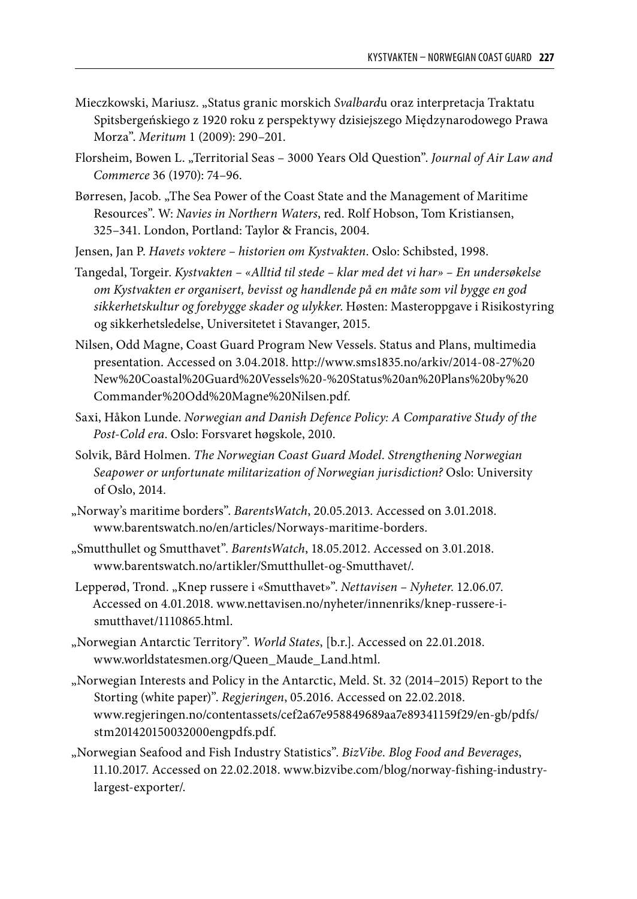- Mieczkowski, Mariusz. "Status granic morskich *Svalbard*u oraz interpretacja Traktatu Spitsbergeńskiego z 1920 roku z perspektywy dzisiejszego Międzynarodowego Prawa Morza". *Meritum* 1 (2009): 290–201.
- Florsheim, Bowen L. "Territorial Seas 3000 Years Old Question". *Journal of Air Law and Commerce* 36 (1970): 74–96.
- Børresen, Jacob. "The Sea Power of the Coast State and the Management of Maritime Resources". W: *Navies in Northern Waters*, red. Rolf Hobson, Tom Kristiansen, 325–341. London, Portland: Taylor & Francis, 2004.
- Jensen, Jan P. *Havets voktere historien om Kystvakten*. Oslo: Schibsted, 1998.
- Tangedal, Torgeir. *Kystvakten «Alltid til stede klar med det vi har» En undersøkelse om Kystvakten er organisert, bevisst og handlende på en måte som vil bygge en god sikkerhetskultur og forebygge skader og ulykker*. Høsten: Masteroppgave i Risikostyring og sikkerhetsledelse, Universitetet i Stavanger, 2015.
- Nilsen, Odd Magne, Coast Guard Program New Vessels. Status and Plans, multimedia presentation. Accessed on 3.04.2018. http://www.sms1835.no/arkiv/2014-08-27%20 New%20Coastal%20Guard%20Vessels%20-%20Status%20an%20Plans%20by%20 Commander%20Odd%20Magne%20Nilsen.pdf.
- Saxi, Håkon Lunde. *Norwegian and Danish Defence Policy: A Comparative Study of the Post-Cold era*. Oslo: Forsvaret høgskole, 2010.
- Solvik, Bård Holmen. *The Norwegian Coast Guard Model. Strengthening Norwegian Seapower or unfortunate militarization of Norwegian jurisdiction?* Oslo: University of Oslo, 2014.
- "Norway's maritime borders". *BarentsWatch*, 20.05.2013. Accessed on 3.01.2018. www.barentswatch.no/en/articles/Norways-maritime-borders.
- "Smutthullet og Smutthavet". *BarentsWatch*, 18.05.2012. Accessed on 3.01.2018. www.barentswatch.no/artikler/Smutthullet-og-Smutthavet/.
- Lepperød, Trond. "Knep russere i «Smutthavet»". *Nettavisen Nyheter*. 12.06.07. Accessed on 4.01.2018. www.nettavisen.no/nyheter/innenriks/knep-russere-ismutthavet/1110865.html.
- "Norwegian Antarctic Territory". *World States*, [b.r.]. Accessed on 22.01.2018. www.worldstatesmen.org/Queen\_Maude\_Land.html.
- "Norwegian Interests and Policy in the Antarctic, Meld. St. 32 (2014–2015) Report to the Storting (white paper)". *Regjeringen*, 05.2016. Accessed on 22.02.2018. www.regjeringen.no/contentassets/cef2a67e958849689aa7e89341159f29/en-gb/pdfs/ stm201420150032000engpdfs.pdf.
- "Norwegian Seafood and Fish Industry Statistics". *BizVibe. Blog Food and Beverages*, 11.10.2017. Accessed on 22.02.2018. www.bizvibe.com/blog/norway-fishing-industrylargest-exporter/.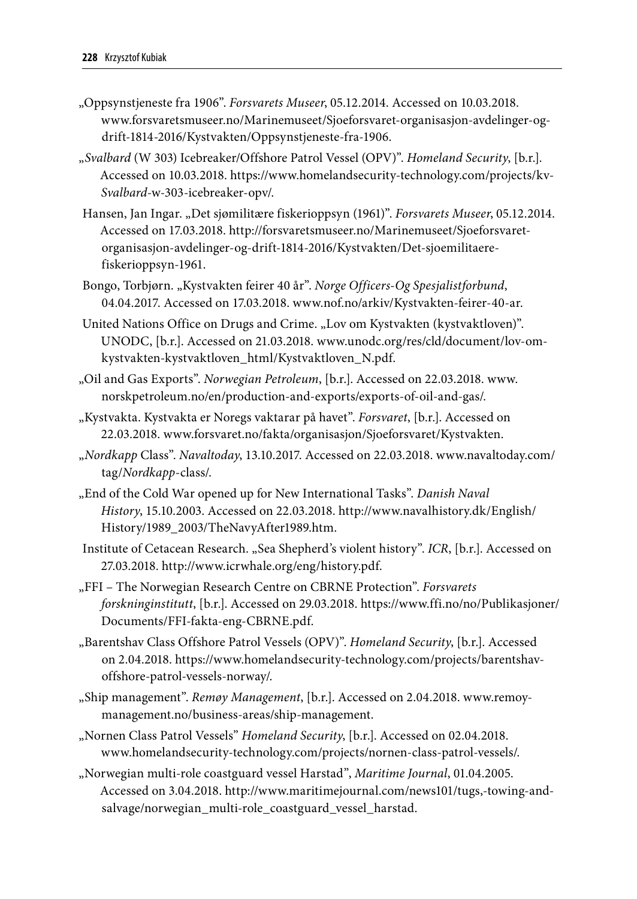- "Oppsynstjeneste fra 1906". *Forsvarets Museer*, 05.12.2014. Accessed on 10.03.2018. www.forsvaretsmuseer.no/Marinemuseet/Sjoeforsvaret-organisasjon-avdelinger-ogdrift-1814-2016/Kystvakten/Oppsynstjeneste-fra-1906.
- "*Svalbard* (W 303) Icebreaker/Offshore Patrol Vessel (OPV)". *Homeland Security*, [b.r.]. Accessed on 10.03.2018. https://www.homelandsecurity-technology.com/projects/kv-*Svalbard*-w-303-icebreaker-opv/.
- Hansen, Jan Ingar. "Det sjømilitære fiskerioppsyn (1961)". *Forsvarets Museer*, 05.12.2014. Accessed on 17.03.2018. http://forsvaretsmuseer.no/Marinemuseet/Sjoeforsvaretorganisasjon-avdelinger-og-drift-1814-2016/Kystvakten/Det-sjoemilitaerefiskerioppsyn-1961.
- Bongo, Torbjørn. "Kystvakten feirer 40 år". *Norge Officers-Og Spesjalistforbund*, 04.04.2017. Accessed on 17.03.2018. www.nof.no/arkiv/Kystvakten-feirer-40-ar.
- United Nations Office on Drugs and Crime. "Lov om Kystvakten (kystvaktloven)". UNODC, [b.r.]. Accessed on 21.03.2018. www.unodc.org/res/cld/document/lov-omkystvakten-kystvaktloven\_html/Kystvaktloven\_N.pdf.
- "Oil and Gas Exports". *Norwegian Petroleum*, [b.r.]. Accessed on 22.03.2018. www. norskpetroleum.no/en/production-and-exports/exports-of-oil-and-gas/.
- "Kystvakta. Kystvakta er Noregs vaktarar på havet". *Forsvaret*, [b.r.]. Accessed on 22.03.2018. www.forsvaret.no/fakta/organisasjon/Sjoeforsvaret/Kystvakten.
- "*Nordkapp* Class". *Navaltoday*, 13.10.2017. Accessed on 22.03.2018. www.navaltoday.com/ tag/*Nordkapp*-class/.
- "End of the Cold War opened up for New International Tasks". *Danish Naval History*, 15.10.2003. Accessed on 22.03.2018. http://www.navalhistory.dk/English/ History/1989\_2003/TheNavyAfter1989.htm.
- Institute of Cetacean Research. "Sea Shepherd's violent history". *ICR*, [b.r.]. Accessed on 27.03.2018. http://www.icrwhale.org/eng/history.pdf.
- "FFI The Norwegian Research Centre on CBRNE Protection". *Forsvarets forskninginstitutt*, [b.r.]. Accessed on 29.03.2018. https://www.ffi.no/no/Publikasjoner/ Documents/FFI-fakta-eng-CBRNE.pdf.
- "Barentshav Class Offshore Patrol Vessels (OPV)". *Homeland Security*, [b.r.]. Accessed on 2.04.2018. https://www.homelandsecurity-technology.com/projects/barentshavoffshore-patrol-vessels-norway/.
- "Ship management". *Remøy Management*, [b.r.]. Accessed on 2.04.2018. www.remoymanagement.no/business-areas/ship-management.
- "Nornen Class Patrol Vessels" *Homeland Security*, [b.r.]. Accessed on 02.04.2018. www.homelandsecurity-technology.com/projects/nornen-class-patrol-vessels/.
- "Norwegian multi-role coastguard vessel Harstad", *Maritime Journal*, 01.04.2005. Accessed on 3.04.2018. http://www.maritimejournal.com/news101/tugs,-towing-andsalvage/norwegian\_multi-role\_coastguard\_vessel\_harstad.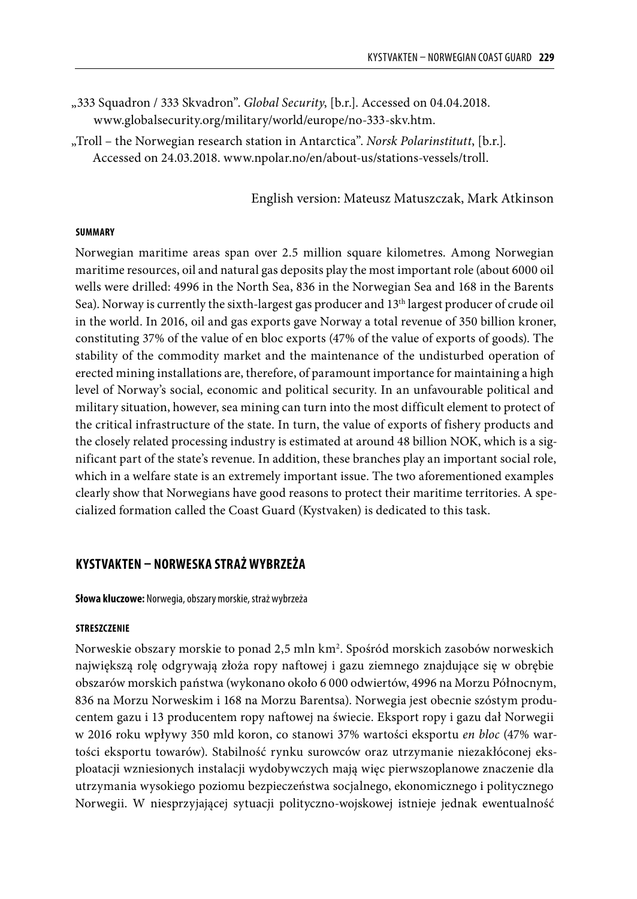- "333 Squadron / 333 Skvadron". *Global Security*, [b.r.]. Accessed on 04.04.2018. www.globalsecurity.org/military/world/europe/no-333-skv.htm.
- "Troll the Norwegian research station in Antarctica". *Norsk Polarinstitutt*, [b.r.]. Accessed on 24.03.2018. www.npolar.no/en/about-us/stations-vessels/troll.

English version: Mateusz Matuszczak, Mark Atkinson

#### **SUMMARY**

Norwegian maritime areas span over 2.5 million square kilometres. Among Norwegian maritime resources, oil and natural gas deposits play the most important role (about 6000 oil wells were drilled: 4996 in the North Sea, 836 in the Norwegian Sea and 168 in the Barents Sea). Norway is currently the sixth-largest gas producer and 13th largest producer of crude oil in the world. In 2016, oil and gas exports gave Norway a total revenue of 350 billion kroner, constituting 37% of the value of en bloc exports (47% of the value of exports of goods). The stability of the commodity market and the maintenance of the undisturbed operation of erected mining installations are, therefore, of paramount importance for maintaining a high level of Norway's social, economic and political security. In an unfavourable political and military situation, however, sea mining can turn into the most difficult element to protect of the critical infrastructure of the state. In turn, the value of exports of fishery products and the closely related processing industry is estimated at around 48 billion NOK, which is a significant part of the state's revenue. In addition, these branches play an important social role, which in a welfare state is an extremely important issue. The two aforementioned examples clearly show that Norwegians have good reasons to protect their maritime territories. A specialized formation called the Coast Guard (Kystvaken) is dedicated to this task.

# **KYSTVAKTEN – NORWESKA STRAŻ WYBRZEŻA**

**Słowa kluczowe:** Norwegia, obszary morskie, straż wybrzeża

#### **STRESZCZENIE**

Norweskie obszary morskie to ponad 2,5 mln km2 . Spośród morskich zasobów norweskich największą rolę odgrywają złoża ropy naftowej i gazu ziemnego znajdujące się w obrębie obszarów morskich państwa (wykonano około 6 000 odwiertów, 4996 na Morzu Północnym, 836 na Morzu Norweskim i 168 na Morzu Barentsa). Norwegia jest obecnie szóstym producentem gazu i 13 producentem ropy naftowej na świecie. Eksport ropy i gazu dał Norwegii w 2016 roku wpływy 350 mld koron, co stanowi 37% wartości eksportu *en bloc* (47% wartości eksportu towarów). Stabilność rynku surowców oraz utrzymanie niezakłóconej eksploatacji wzniesionych instalacji wydobywczych mają więc pierwszoplanowe znaczenie dla utrzymania wysokiego poziomu bezpieczeństwa socjalnego, ekonomicznego i politycznego Norwegii. W niesprzyjającej sytuacji polityczno-wojskowej istnieje jednak ewentualność